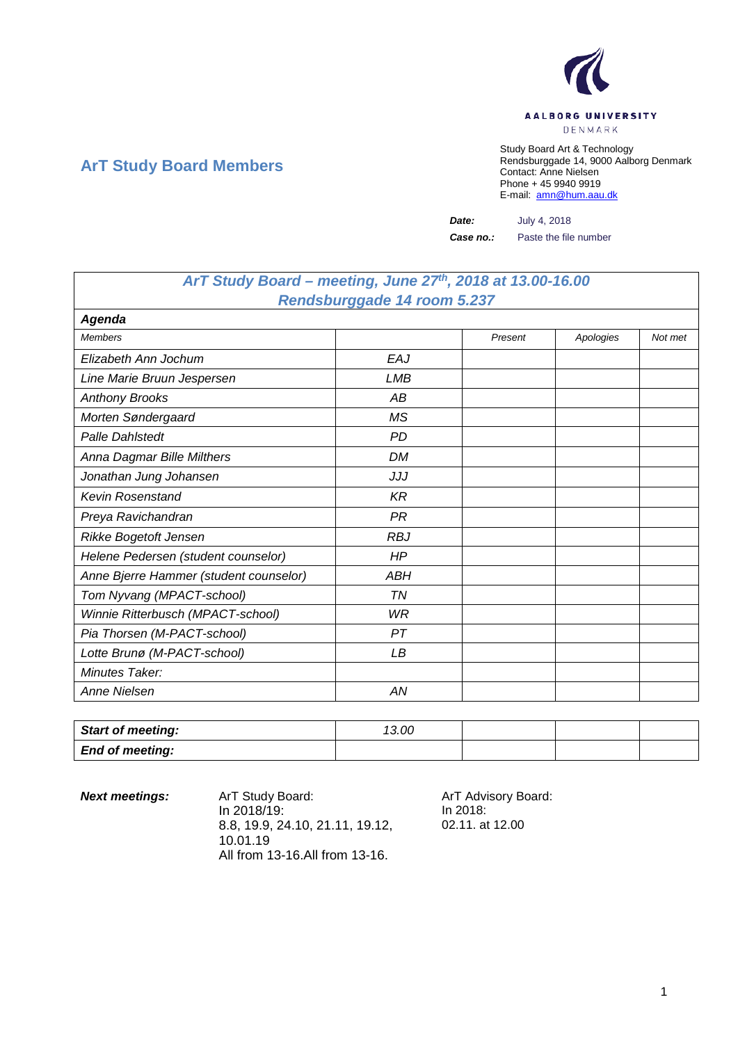

## **ArT Study Board Members**

Study Board Art & Technology Rendsburggade 14, 9000 Aalborg Denmark Contact: Anne Nielsen Phone + 45 9940 9919 E-mail: [amn@hum.aau.dk](mailto:amn@hum.aau.dk)

*Date:* July 4, 2018

*Case no.:* Paste the file number

## *ArT Study Board – meeting, June 27th, 2018 at 13.00-16.00 Rendsburggade 14 room 5.237*

| <b>Agenda</b>                          |            |         |           |         |  |
|----------------------------------------|------------|---------|-----------|---------|--|
| <b>Members</b>                         |            | Present | Apologies | Not met |  |
| Elizabeth Ann Jochum                   | EAJ        |         |           |         |  |
| Line Marie Bruun Jespersen             | <b>LMB</b> |         |           |         |  |
| <b>Anthony Brooks</b>                  | АB         |         |           |         |  |
| Morten Søndergaard                     | <b>MS</b>  |         |           |         |  |
| <b>Palle Dahlstedt</b>                 | PD         |         |           |         |  |
| Anna Dagmar Bille Milthers             | DM         |         |           |         |  |
| Jonathan Jung Johansen                 | JJJ        |         |           |         |  |
| <b>Kevin Rosenstand</b>                | KR         |         |           |         |  |
| Preya Ravichandran                     | PR         |         |           |         |  |
| Rikke Bogetoft Jensen                  | <b>RBJ</b> |         |           |         |  |
| Helene Pedersen (student counselor)    | HP         |         |           |         |  |
| Anne Bjerre Hammer (student counselor) | <b>ABH</b> |         |           |         |  |
| Tom Nyvang (MPACT-school)              | TN         |         |           |         |  |
| Winnie Ritterbusch (MPACT-school)      | <b>WR</b>  |         |           |         |  |
| Pia Thorsen (M-PACT-school)            | PТ         |         |           |         |  |
| Lotte Brunø (M-PACT-school)            | LB         |         |           |         |  |
| Minutes Taker:                         |            |         |           |         |  |
| Anne Nielsen                           | AN         |         |           |         |  |

| <b>Start of meeting:</b> | 13.00 |  |  |
|--------------------------|-------|--|--|
| <b>End of meeting:</b>   |       |  |  |

**Next meetings:** ArT Study Board: ArT Advisory Board: In 2018/19: 8.8, 19.9, 24.10, 21.11, 19.12, 10.01.19 All from 13-16.All from 13-16.

In 2018: 02.11. at 12.00